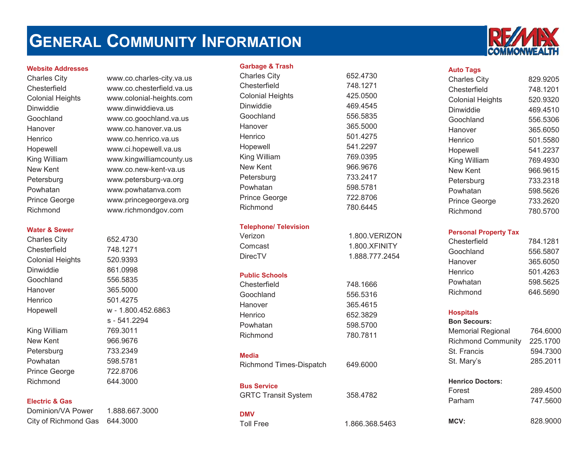# **GENERAL COMMUNITY INFORMATION**



**Chesterfield** 

Dinwiddie

Goochland

Hanover

**Henrico** 

New Kent

Powhatan

Richmond

Charles City www.co.charles-city.va.us www.co.chesterfield.va.us Colonial Heights www.colonial-heights.com www.dinwiddieva.us www.co.goochland.va.us www.co.hanover.va.us www.co.henrico.va.us Hopewell www.ci.hopewell.va.us King William www.kingwilliamcounty.us www.co.new-kent-va.usPetersburg www.petersburg-va.org www.powhatanva.com Prince George www.princegeorgeva.org www.richmondgov.com

#### **Water & Sewer**

Charles City 652.4730 Chesterfield 748.1271 Colonial Heights 520.9393 Dinwiddie 861.0998 Goochland 556.5835 Hanover 365.5000**Henrico**  501.4275 Hopewell <sup>w</sup>- 1.800.452.6863 s - 541.2294King William 769.3011 New Kent 966.9676Petersburg 733.2349 Powhatan 598.5781 Prince George 722.8706 Richmond644.3000

#### **Electric & Gas**

Dominion/VA Power 1.888.667.3000City of Richmond Gas 644.3000

#### **Garbage & Trash**

| <b>Charles City</b>          | 652.4730       |
|------------------------------|----------------|
| Chesterfield                 | 748.1271       |
| <b>Colonial Heights</b>      | 425.0500       |
| Dinwiddie                    | 469.4545       |
| Goochland                    | 556.5835       |
| Hanover                      | 365.5000       |
| Henrico                      | 501.4275       |
| Hopewell                     | 541.2297       |
| King William                 | 769.0395       |
| <b>New Kent</b>              | 966.9676       |
| Petersburg                   | 733.2417       |
| Powhatan                     | 598.5781       |
| <b>Prince George</b>         | 722.8706       |
| Richmond                     | 780.6445       |
| <b>Telephone/ Television</b> |                |
| Verizon                      | 1.800.VERIZON  |
| Comcast                      | 1.800.XFINITY  |
| <b>DirecTV</b>               | 1.888.777.2454 |
| <b>Public Schools</b>        |                |
| Chesterfield                 | 748.1666       |
| Goochland                    | 556.5316       |
| Hanover                      | 365.4615       |
| Henrico                      | 652.3829       |
| Powhatan                     | 598.5700       |
| Richmond                     | 780.7811       |
| <b>Media</b>                 |                |
| Richmond Times-Dispatch      | 649.6000       |
| <b>Bus Service</b>           |                |
| <b>GRTC Transit System</b>   | 358.4782       |
| <b>DMV</b>                   |                |
| <b>Toll Free</b>             | 1.866.368.5463 |



#### **Auto Tags**

| <b>Charles City</b>     | 829.9205 |
|-------------------------|----------|
| Chesterfield            | 748.1201 |
| <b>Colonial Heights</b> | 520.9320 |
| Dinwiddie               | 469.4510 |
| Goochland               | 556.5306 |
| Hanover                 | 365.6050 |
| Henrico                 | 501.5580 |
| Hopewell                | 541.2237 |
| King William            | 769.4930 |
| New Kent                | 966.9615 |
| Petersburg              | 733.2318 |
| Powhatan                | 598.5626 |
| Prince George           | 733.2620 |
| Richmond                | 780.5700 |

#### **Personal Property Tax**

| Chesterfield | 784.1281 |
|--------------|----------|
| Goochland    | 556.5807 |
| Hanover      | 365.6050 |
| Henrico      | 501.4263 |
| Powhatan     | 598.5625 |
| Richmond     | 646.5690 |

#### **Hospitals**

#### **Bon Secours:**

| Memorial Regional         | 764.6000 |
|---------------------------|----------|
| <b>Richmond Community</b> | 225,1700 |
| St. Francis               | 594.7300 |
| St. Mary's                | 285.2011 |

#### **Henrico Doctors:**

| Forest | 289,4500 |
|--------|----------|
| Parham | 747.5600 |

**MCV:** 828.9000